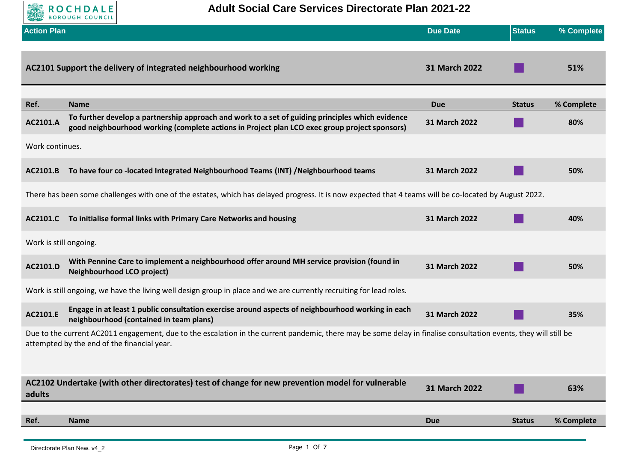

**Adult Social Care Services Directorate Plan 2021-22**

| <b>Action Plan</b>     |                                                                                                                                                                                                                 | <b>Due Date</b>      | <b>Status</b> | % Complete |  |
|------------------------|-----------------------------------------------------------------------------------------------------------------------------------------------------------------------------------------------------------------|----------------------|---------------|------------|--|
|                        | AC2101 Support the delivery of integrated neighbourhood working                                                                                                                                                 | <b>31 March 2022</b> |               | 51%        |  |
| Ref.                   | <b>Name</b>                                                                                                                                                                                                     | <b>Due</b>           | <b>Status</b> | % Complete |  |
| AC2101.A               | To further develop a partnership approach and work to a set of guiding principles which evidence<br>good neighbourhood working (complete actions in Project plan LCO exec group project sponsors)               | 31 March 2022        |               | 80%        |  |
| Work continues.        |                                                                                                                                                                                                                 |                      |               |            |  |
| AC2101.B               | To have four co-located Integrated Neighbourhood Teams (INT) /Neighbourhood teams                                                                                                                               | 31 March 2022        |               | 50%        |  |
|                        | There has been some challenges with one of the estates, which has delayed progress. It is now expected that 4 teams will be co-located by August 2022.                                                          |                      |               |            |  |
| AC2101.C               | To initialise formal links with Primary Care Networks and housing                                                                                                                                               | 31 March 2022        |               | 40%        |  |
| Work is still ongoing. |                                                                                                                                                                                                                 |                      |               |            |  |
| AC2101.D               | With Pennine Care to implement a neighbourhood offer around MH service provision (found in<br><b>Neighbourhood LCO project)</b>                                                                                 | 31 March 2022        |               | 50%        |  |
|                        | Work is still ongoing, we have the living well design group in place and we are currently recruiting for lead roles.                                                                                            |                      |               |            |  |
| AC2101.E               | Engage in at least 1 public consultation exercise around aspects of neighbourhood working in each<br>neighbourhood (contained in team plans)                                                                    | 31 March 2022        |               | 35%        |  |
|                        | Due to the current AC2011 engagement, due to the escalation in the current pandemic, there may be some delay in finalise consultation events, they will still be<br>attempted by the end of the financial year. |                      |               |            |  |
|                        |                                                                                                                                                                                                                 |                      |               |            |  |
| adults                 | AC2102 Undertake (with other directorates) test of change for new prevention model for vulnerable                                                                                                               | 31 March 2022        |               | 63%        |  |
| Ref.                   | <b>Name</b>                                                                                                                                                                                                     | <b>Due</b>           | <b>Status</b> | % Complete |  |
|                        |                                                                                                                                                                                                                 |                      |               |            |  |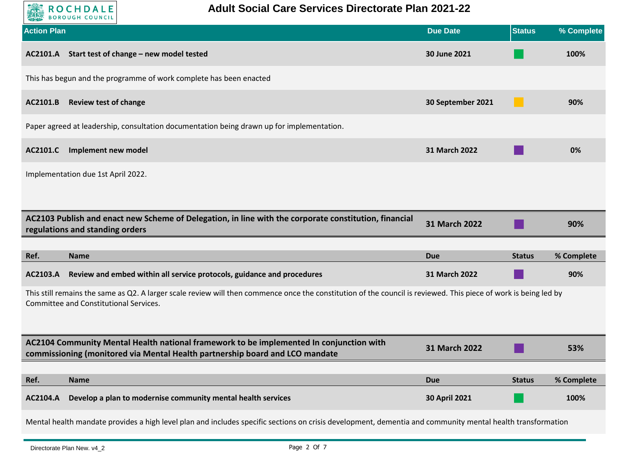

| <b>Action Plan</b>                                                                                                                                                                                         | <b>Due Date</b>   | <b>Status</b> | % Complete |  |
|------------------------------------------------------------------------------------------------------------------------------------------------------------------------------------------------------------|-------------------|---------------|------------|--|
| Start test of change - new model tested<br>AC2101.A                                                                                                                                                        | 30 June 2021      |               | 100%       |  |
| This has begun and the programme of work complete has been enacted                                                                                                                                         |                   |               |            |  |
| <b>Review test of change</b><br>AC2101.B                                                                                                                                                                   | 30 September 2021 |               | 90%        |  |
| Paper agreed at leadership, consultation documentation being drawn up for implementation.                                                                                                                  |                   |               |            |  |
| AC2101.C<br>Implement new model                                                                                                                                                                            | 31 March 2022     |               | 0%         |  |
| Implementation due 1st April 2022.                                                                                                                                                                         |                   |               |            |  |
|                                                                                                                                                                                                            |                   |               |            |  |
| AC2103 Publish and enact new Scheme of Delegation, in line with the corporate constitution, financial<br>regulations and standing orders                                                                   | 31 March 2022     |               | 90%        |  |
|                                                                                                                                                                                                            |                   |               |            |  |
| Ref.<br><b>Name</b>                                                                                                                                                                                        | <b>Due</b>        | <b>Status</b> | % Complete |  |
| Review and embed within all service protocols, guidance and procedures<br>AC2103.A                                                                                                                         | 31 March 2022     |               | 90%        |  |
| This still remains the same as Q2. A larger scale review will then commence once the constitution of the council is reviewed. This piece of work is being led by<br>Committee and Constitutional Services. |                   |               |            |  |
|                                                                                                                                                                                                            |                   |               |            |  |
| AC2104 Community Mental Health national framework to be implemented In conjunction with<br>commissioning (monitored via Mental Health partnership board and LCO mandate                                    | 31 March 2022     |               | 53%        |  |
|                                                                                                                                                                                                            |                   |               |            |  |
| Ref.<br><b>Name</b>                                                                                                                                                                                        | <b>Due</b>        | <b>Status</b> | % Complete |  |
| AC2104.A<br>Develop a plan to modernise community mental health services                                                                                                                                   | 30 April 2021     |               | 100%       |  |

Mental health mandate provides a high level plan and includes specific sections on crisis development, dementia and community mental health transformation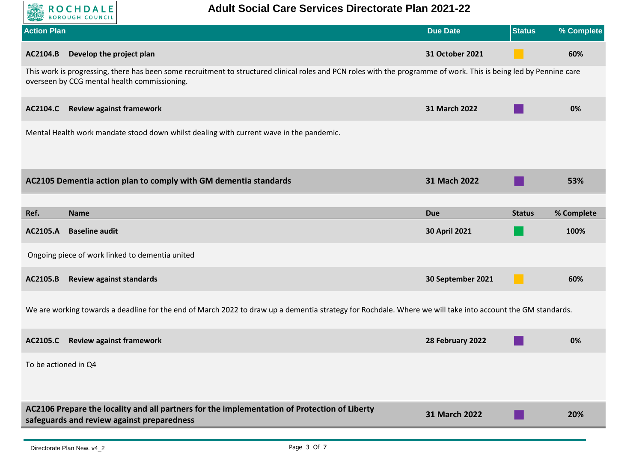

| <b>Action Plan</b>                                                                                                                                                                                                 | <b>Due Date</b>      | <b>Status</b> | % Complete |  |  |
|--------------------------------------------------------------------------------------------------------------------------------------------------------------------------------------------------------------------|----------------------|---------------|------------|--|--|
| Develop the project plan<br>AC2104.B                                                                                                                                                                               | 31 October 2021      |               | 60%        |  |  |
| This work is progressing, there has been some recruitment to structured clinical roles and PCN roles with the programme of work. This is being led by Pennine care<br>overseen by CCG mental health commissioning. |                      |               |            |  |  |
| <b>Review against framework</b><br><b>AC2104.C</b>                                                                                                                                                                 | 31 March 2022        |               | 0%         |  |  |
| Mental Health work mandate stood down whilst dealing with current wave in the pandemic.                                                                                                                            |                      |               |            |  |  |
|                                                                                                                                                                                                                    |                      |               |            |  |  |
| AC2105 Dementia action plan to comply with GM dementia standards                                                                                                                                                   | 31 Mach 2022         |               | 53%        |  |  |
|                                                                                                                                                                                                                    |                      |               |            |  |  |
| Ref.<br><b>Name</b>                                                                                                                                                                                                | <b>Due</b>           | <b>Status</b> | % Complete |  |  |
| <b>Baseline audit</b><br>AC2105.A                                                                                                                                                                                  | <b>30 April 2021</b> |               | 100%       |  |  |
| Ongoing piece of work linked to dementia united                                                                                                                                                                    |                      |               |            |  |  |
| AC2105.B<br><b>Review against standards</b>                                                                                                                                                                        | 30 September 2021    |               | 60%        |  |  |
| We are working towards a deadline for the end of March 2022 to draw up a dementia strategy for Rochdale. Where we will take into account the GM standards.                                                         |                      |               |            |  |  |
| <b>Review against framework</b><br>AC2105.C                                                                                                                                                                        | 28 February 2022     |               | 0%         |  |  |
| To be actioned in Q4                                                                                                                                                                                               |                      |               |            |  |  |
|                                                                                                                                                                                                                    |                      |               |            |  |  |
| AC2106 Prepare the locality and all partners for the implementation of Protection of Liberty<br>safeguards and review against preparedness                                                                         | 31 March 2022        |               | 20%        |  |  |
|                                                                                                                                                                                                                    |                      |               |            |  |  |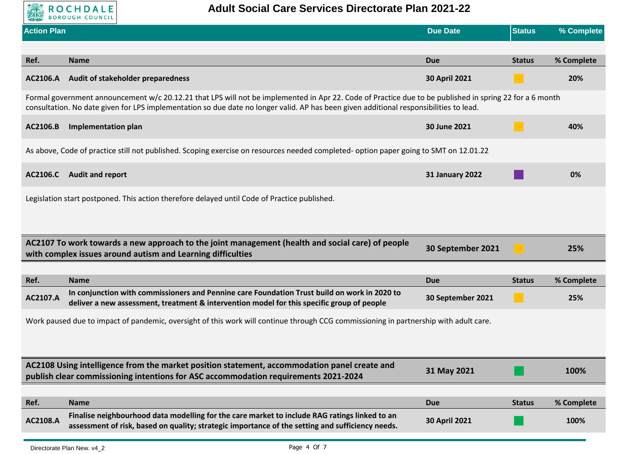

| <b>Action Plan</b><br><b>Due Date</b>                                                                                                                                                                                                                                                             | <b>Status</b> | % Complete |  |  |  |
|---------------------------------------------------------------------------------------------------------------------------------------------------------------------------------------------------------------------------------------------------------------------------------------------------|---------------|------------|--|--|--|
|                                                                                                                                                                                                                                                                                                   |               |            |  |  |  |
| Ref.<br><b>Name</b><br><b>Due</b>                                                                                                                                                                                                                                                                 | <b>Status</b> | % Complete |  |  |  |
| Audit of stakeholder preparedness<br><b>30 April 2021</b><br>AC2106.A                                                                                                                                                                                                                             |               | 20%        |  |  |  |
| Formal government announcement w/c 20.12.21 that LPS will not be implemented in Apr 22. Code of Practice due to be published in spring 22 for a 6 month<br>consultation. No date given for LPS implementation so due date no longer valid. AP has been given additional responsibilities to lead. |               |            |  |  |  |
| AC2106.B<br><b>Implementation plan</b><br>30 June 2021                                                                                                                                                                                                                                            |               | 40%        |  |  |  |
| As above, Code of practice still not published. Scoping exercise on resources needed completed-option paper going to SMT on 12.01.22                                                                                                                                                              |               |            |  |  |  |
| AC2106.C<br><b>Audit and report</b><br><b>31 January 2022</b>                                                                                                                                                                                                                                     |               | 0%         |  |  |  |
| Legislation start postponed. This action therefore delayed until Code of Practice published.                                                                                                                                                                                                      |               |            |  |  |  |
|                                                                                                                                                                                                                                                                                                   |               |            |  |  |  |
|                                                                                                                                                                                                                                                                                                   |               |            |  |  |  |
| AC2107 To work towards a new approach to the joint management (health and social care) of people<br>30 September 2021<br>with complex issues around autism and Learning difficulties                                                                                                              |               | 25%        |  |  |  |
|                                                                                                                                                                                                                                                                                                   |               |            |  |  |  |
| Ref.<br><b>Name</b><br><b>Due</b>                                                                                                                                                                                                                                                                 | <b>Status</b> | % Complete |  |  |  |
| In conjunction with commissioners and Pennine care Foundation Trust build on work in 2020 to<br>AC2107.A<br>30 September 2021<br>deliver a new assessment, treatment & intervention model for this specific group of people                                                                       |               | 25%        |  |  |  |
| Work paused due to impact of pandemic, oversight of this work will continue through CCG commissioning in partnership with adult care.                                                                                                                                                             |               |            |  |  |  |
|                                                                                                                                                                                                                                                                                                   |               |            |  |  |  |
|                                                                                                                                                                                                                                                                                                   |               |            |  |  |  |
| AC2108 Using intelligence from the market position statement, accommodation panel create and<br>31 May 2021<br>publish clear commissioning intentions for ASC accommodation requirements 2021-2024                                                                                                |               | 100%       |  |  |  |
|                                                                                                                                                                                                                                                                                                   |               |            |  |  |  |
| Ref.<br><b>Name</b><br><b>Due</b>                                                                                                                                                                                                                                                                 | <b>Status</b> | % Complete |  |  |  |
| Finalise neighbourhood data modelling for the care market to include RAG ratings linked to an<br>AC2108.A<br>30 April 2021<br>assessment of risk, based on quality; strategic importance of the setting and sufficiency needs.                                                                    |               | 100%       |  |  |  |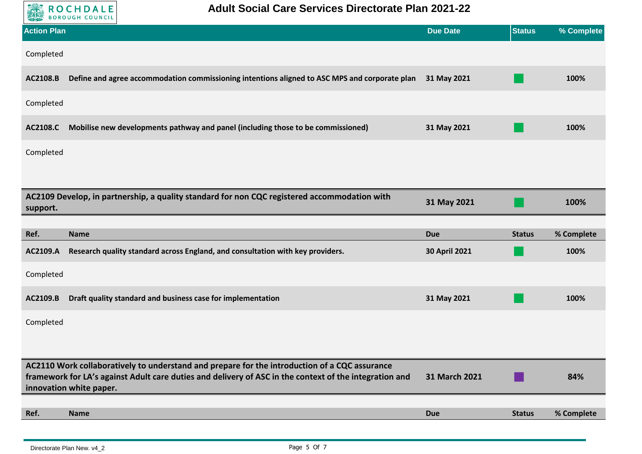

| <b>Action Plan</b> |                                                                                                                                   | <b>Due Date</b> | <b>Status</b> | % Complete |
|--------------------|-----------------------------------------------------------------------------------------------------------------------------------|-----------------|---------------|------------|
| Completed          |                                                                                                                                   |                 |               |            |
| AC2108.B           | Define and agree accommodation commissioning intentions aligned to ASC MPS and corporate plan                                     | 31 May 2021     |               | 100%       |
| Completed          |                                                                                                                                   |                 |               |            |
| <b>AC2108.C</b>    | Mobilise new developments pathway and panel (including those to be commissioned)                                                  | 31 May 2021     |               | 100%       |
| Completed          |                                                                                                                                   |                 |               |            |
|                    |                                                                                                                                   |                 |               |            |
| support.           | AC2109 Develop, in partnership, a quality standard for non CQC registered accommodation with                                      | 31 May 2021     |               | 100%       |
|                    |                                                                                                                                   |                 |               |            |
|                    |                                                                                                                                   |                 |               |            |
| Ref.               | <b>Name</b>                                                                                                                       | <b>Due</b>      | <b>Status</b> | % Complete |
| AC2109.A           | Research quality standard across England, and consultation with key providers.                                                    | 30 April 2021   |               | 100%       |
| Completed          |                                                                                                                                   |                 |               |            |
| AC2109.B           | Draft quality standard and business case for implementation                                                                       | 31 May 2021     |               | 100%       |
| Completed          |                                                                                                                                   |                 |               |            |
|                    |                                                                                                                                   |                 |               |            |
|                    | AC2110 Work collaboratively to understand and prepare for the introduction of a CQC assurance                                     |                 |               |            |
|                    | framework for LA's against Adult care duties and delivery of ASC in the context of the integration and<br>innovation white paper. | 31 March 2021   |               | 84%        |
|                    |                                                                                                                                   |                 |               |            |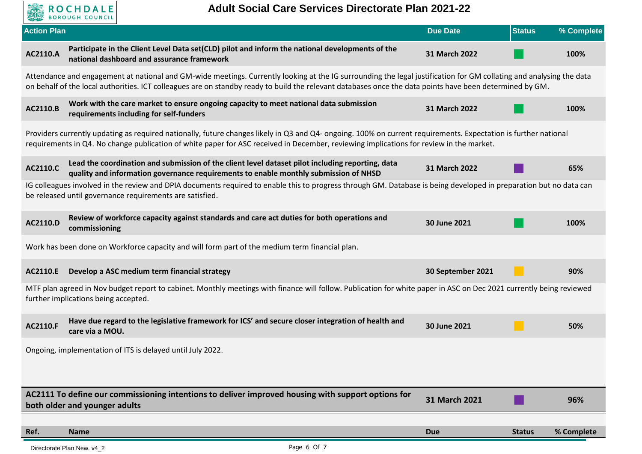

| <b>Action Plan</b> |                                                                                                                                                                                                                                                                                                                                 | <b>Due Date</b>   | <b>Status</b> | % Complete |
|--------------------|---------------------------------------------------------------------------------------------------------------------------------------------------------------------------------------------------------------------------------------------------------------------------------------------------------------------------------|-------------------|---------------|------------|
| AC2110.A           | Participate in the Client Level Data set(CLD) pilot and inform the national developments of the<br>national dashboard and assurance framework                                                                                                                                                                                   | 31 March 2022     |               | 100%       |
|                    | Attendance and engagement at national and GM-wide meetings. Currently looking at the IG surrounding the legal justification for GM collating and analysing the data<br>on behalf of the local authorities. ICT colleagues are on standby ready to build the relevant databases once the data points have been determined by GM. |                   |               |            |
| AC2110.B           | Work with the care market to ensure ongoing capacity to meet national data submission<br>requirements including for self-funders                                                                                                                                                                                                | 31 March 2022     |               | 100%       |
|                    | Providers currently updating as required nationally, future changes likely in Q3 and Q4- ongoing. 100% on current requirements. Expectation is further national<br>requirements in Q4. No change publication of white paper for ASC received in December, reviewing implications for review in the market.                      |                   |               |            |
| AC2110.C           | Lead the coordination and submission of the client level dataset pilot including reporting, data<br>quality and information governance requirements to enable monthly submission of NHSD                                                                                                                                        | 31 March 2022     |               | 65%        |
|                    | IG colleagues involved in the review and DPIA documents required to enable this to progress through GM. Database is being developed in preparation but no data can<br>be released until governance requirements are satisfied.                                                                                                  |                   |               |            |
| AC2110.D           | Review of workforce capacity against standards and care act duties for both operations and<br>commissioning                                                                                                                                                                                                                     | 30 June 2021      |               | 100%       |
|                    | Work has been done on Workforce capacity and will form part of the medium term financial plan.                                                                                                                                                                                                                                  |                   |               |            |
| AC2110.E           | Develop a ASC medium term financial strategy                                                                                                                                                                                                                                                                                    | 30 September 2021 |               | 90%        |
|                    | MTF plan agreed in Nov budget report to cabinet. Monthly meetings with finance will follow. Publication for white paper in ASC on Dec 2021 currently being reviewed<br>further implications being accepted.                                                                                                                     |                   |               |            |
| AC2110.F           | Have due regard to the legislative framework for ICS' and secure closer integration of health and<br>care via a MOU.                                                                                                                                                                                                            | 30 June 2021      |               | 50%        |
|                    | Ongoing, implementation of ITS is delayed until July 2022.                                                                                                                                                                                                                                                                      |                   |               |            |
|                    |                                                                                                                                                                                                                                                                                                                                 |                   |               |            |
|                    | AC2111 To define our commissioning intentions to deliver improved housing with support options for<br>both older and younger adults                                                                                                                                                                                             | 31 March 2021     |               | 96%        |
|                    |                                                                                                                                                                                                                                                                                                                                 |                   |               |            |
| Ref.               | <b>Name</b>                                                                                                                                                                                                                                                                                                                     | <b>Due</b>        | <b>Status</b> | % Complete |